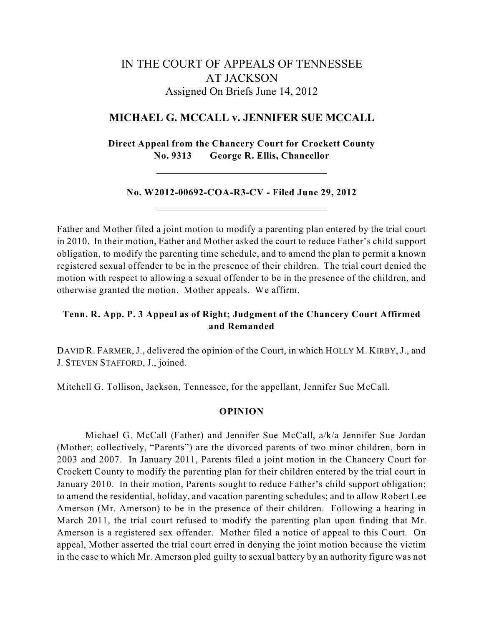# IN THE COURT OF APPEALS OF TENNESSEE AT JACKSON Assigned On Briefs June 14, 2012

## **MICHAEL G. MCCALL v. JENNIFER SUE MCCALL**

**Direct Appeal from the Chancery Court for Crockett County No. 9313 George R. Ellis, Chancellor**

#### **No. W2012-00692-COA-R3-CV - Filed June 29, 2012**

Father and Mother filed a joint motion to modify a parenting plan entered by the trial court in 2010. In their motion, Father and Mother asked the court to reduce Father's child support obligation, to modify the parenting time schedule, and to amend the plan to permit a known registered sexual offender to be in the presence of their children. The trial court denied the motion with respect to allowing a sexual offender to be in the presence of the children, and otherwise granted the motion. Mother appeals. We affirm.

## **Tenn. R. App. P. 3 Appeal as of Right; Judgment of the Chancery Court Affirmed and Remanded**

DAVID R. FARMER, J., delivered the opinion of the Court, in which HOLLY M. KIRBY, J., and J. STEVEN STAFFORD, J., joined.

Mitchell G. Tollison, Jackson, Tennessee, for the appellant, Jennifer Sue McCall.

#### **OPINION**

Michael G. McCall (Father) and Jennifer Sue McCall, a/k/a Jennifer Sue Jordan (Mother; collectively, "Parents") are the divorced parents of two minor children, born in 2003 and 2007. In January 2011, Parents filed a joint motion in the Chancery Court for Crockett County to modify the parenting plan for their children entered by the trial court in January 2010. In their motion, Parents sought to reduce Father's child support obligation; to amend the residential, holiday, and vacation parenting schedules; and to allow Robert Lee Amerson (Mr. Amerson) to be in the presence of their children. Following a hearing in March 2011, the trial court refused to modify the parenting plan upon finding that Mr. Amerson is a registered sex offender. Mother filed a notice of appeal to this Court. On appeal, Mother asserted the trial court erred in denying the joint motion because the victim in the case to which Mr. Amerson pled guilty to sexual battery by an authority figure was not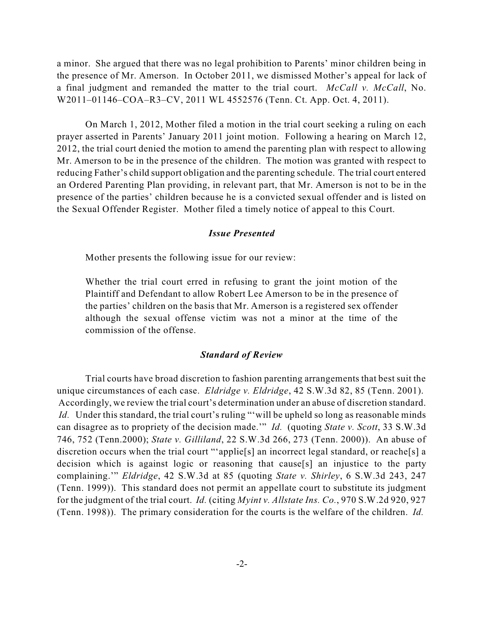a minor. She argued that there was no legal prohibition to Parents' minor children being in the presence of Mr. Amerson. In October 2011, we dismissed Mother's appeal for lack of a final judgment and remanded the matter to the trial court. *McCall v. McCall*, No. W2011–01146–COA–R3–CV, 2011 WL 4552576 (Tenn. Ct. App. Oct. 4, 2011).

On March 1, 2012, Mother filed a motion in the trial court seeking a ruling on each prayer asserted in Parents' January 2011 joint motion. Following a hearing on March 12, 2012, the trial court denied the motion to amend the parenting plan with respect to allowing Mr. Amerson to be in the presence of the children. The motion was granted with respect to reducing Father's child support obligation and the parenting schedule. The trial court entered an Ordered Parenting Plan providing, in relevant part, that Mr. Amerson is not to be in the presence of the parties' children because he is a convicted sexual offender and is listed on the Sexual Offender Register. Mother filed a timely notice of appeal to this Court.

#### *Issue Presented*

Mother presents the following issue for our review:

Whether the trial court erred in refusing to grant the joint motion of the Plaintiff and Defendant to allow Robert Lee Amerson to be in the presence of the parties' children on the basis that Mr. Amerson is a registered sex offender although the sexual offense victim was not a minor at the time of the commission of the offense.

### *Standard of Review*

Trial courts have broad discretion to fashion parenting arrangements that best suit the unique circumstances of each case. *Eldridge v. Eldridge*, 42 S.W.3d 82, 85 (Tenn. 2001). Accordingly, we review the trial court's determination under an abuse of discretion standard. *Id.* Under this standard, the trial court's ruling "'will be upheld so long as reasonable minds can disagree as to propriety of the decision made.'" *Id.* (quoting *State v. Scott*, 33 S.W.3d 746, 752 (Tenn.2000); *State v. Gilliland*, 22 S.W.3d 266, 273 (Tenn. 2000)). An abuse of discretion occurs when the trial court "'applie<sup>[s]</sup> an incorrect legal standard, or reache<sup>[s]</sup> a decision which is against logic or reasoning that cause[s] an injustice to the party complaining.'" *Eldridge*, 42 S.W.3d at 85 (quoting *State v. Shirley*, 6 S.W.3d 243, 247 (Tenn. 1999)). This standard does not permit an appellate court to substitute its judgment for the judgment of the trial court. *Id.* (citing *Myint v. Allstate Ins. Co.*, 970 S.W.2d 920, 927 (Tenn. 1998)). The primary consideration for the courts is the welfare of the children. *Id.*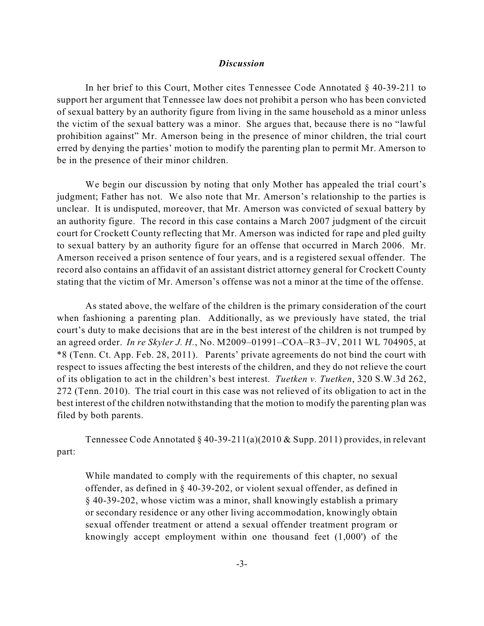#### *Discussion*

In her brief to this Court, Mother cites Tennessee Code Annotated § 40-39-211 to support her argument that Tennessee law does not prohibit a person who has been convicted of sexual battery by an authority figure from living in the same household as a minor unless the victim of the sexual battery was a minor. She argues that, because there is no "lawful prohibition against" Mr. Amerson being in the presence of minor children, the trial court erred by denying the parties' motion to modify the parenting plan to permit Mr. Amerson to be in the presence of their minor children.

We begin our discussion by noting that only Mother has appealed the trial court's judgment; Father has not. We also note that Mr. Amerson's relationship to the parties is unclear. It is undisputed, moreover, that Mr. Amerson was convicted of sexual battery by an authority figure. The record in this case contains a March 2007 judgment of the circuit court for Crockett County reflecting that Mr. Amerson was indicted for rape and pled guilty to sexual battery by an authority figure for an offense that occurred in March 2006. Mr. Amerson received a prison sentence of four years, and is a registered sexual offender. The record also contains an affidavit of an assistant district attorney general for Crockett County stating that the victim of Mr. Amerson's offense was not a minor at the time of the offense.

As stated above, the welfare of the children is the primary consideration of the court when fashioning a parenting plan. Additionally, as we previously have stated, the trial court's duty to make decisions that are in the best interest of the children is not trumped by an agreed order. *In re Skyler J. H.*, No. M2009–01991–COA–R3–JV, 2011 WL 704905, at \*8 (Tenn. Ct. App. Feb. 28, 2011). Parents' private agreements do not bind the court with respect to issues affecting the best interests of the children, and they do not relieve the court of its obligation to act in the children's best interest. *Tuetken v. Tuetken*, 320 S.W.3d 262, 272 (Tenn. 2010). The trial court in this case was not relieved of its obligation to act in the best interest of the children notwithstanding that the motion to modify the parenting plan was filed by both parents.

Tennessee Code Annotated § 40-39-211(a)(2010 & Supp. 2011) provides, in relevant part:

While mandated to comply with the requirements of this chapter, no sexual offender, as defined in § 40-39-202, or violent sexual offender, as defined in § 40-39-202, whose victim was a minor, shall knowingly establish a primary or secondary residence or any other living accommodation, knowingly obtain sexual offender treatment or attend a sexual offender treatment program or knowingly accept employment within one thousand feet (1,000') of the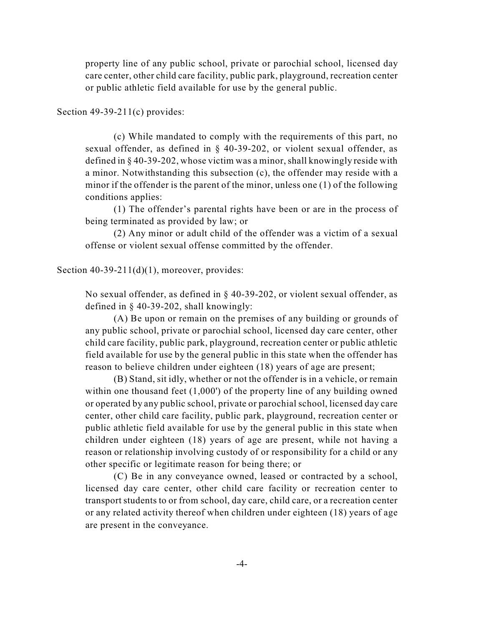property line of any public school, private or parochial school, licensed day care center, other child care facility, public park, playground, recreation center or public athletic field available for use by the general public.

Section  $49-39-211(c)$  provides:

(c) While mandated to comply with the requirements of this part, no sexual offender, as defined in § 40-39-202, or violent sexual offender, as defined in § 40-39-202, whose victim was a minor,shall knowingly reside with a minor. Notwithstanding this subsection (c), the offender may reside with a minor if the offender is the parent of the minor, unless one (1) of the following conditions applies:

(1) The offender's parental rights have been or are in the process of being terminated as provided by law; or

(2) Any minor or adult child of the offender was a victim of a sexual offense or violent sexual offense committed by the offender.

Section  $40-39-211(d)(1)$ , moreover, provides:

No sexual offender, as defined in § 40-39-202, or violent sexual offender, as defined in § 40-39-202, shall knowingly:

(A) Be upon or remain on the premises of any building or grounds of any public school, private or parochial school, licensed day care center, other child care facility, public park, playground, recreation center or public athletic field available for use by the general public in this state when the offender has reason to believe children under eighteen (18) years of age are present;

(B) Stand, sit idly, whether or not the offender is in a vehicle, or remain within one thousand feet (1,000') of the property line of any building owned or operated by any public school, private or parochial school, licensed day care center, other child care facility, public park, playground, recreation center or public athletic field available for use by the general public in this state when children under eighteen (18) years of age are present, while not having a reason or relationship involving custody of or responsibility for a child or any other specific or legitimate reason for being there; or

(C) Be in any conveyance owned, leased or contracted by a school, licensed day care center, other child care facility or recreation center to transport students to or from school, day care, child care, or a recreation center or any related activity thereof when children under eighteen (18) years of age are present in the conveyance.